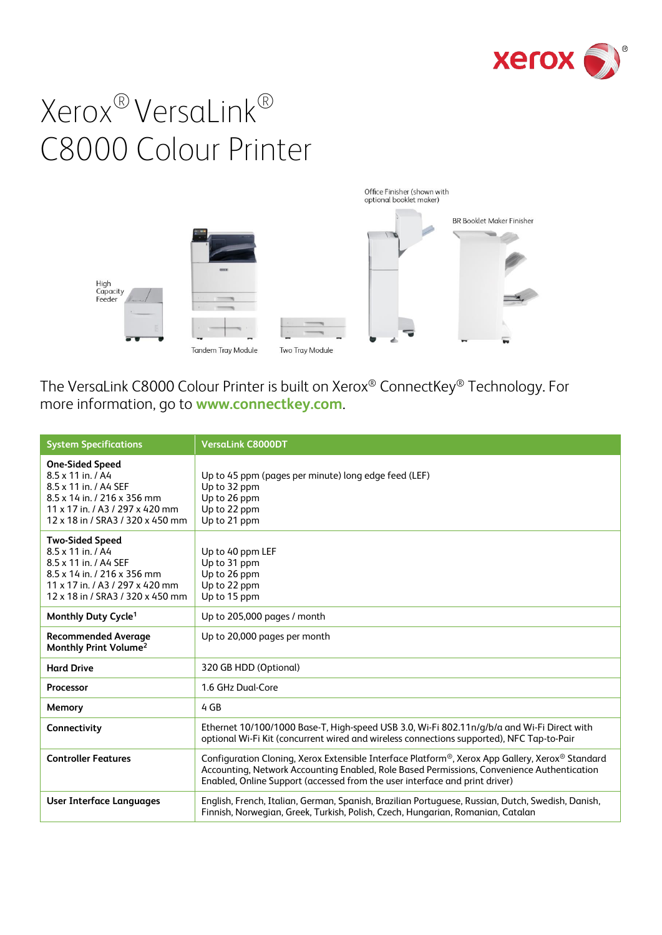



The VersaLink C8000 Colour Printer is built on Xerox® ConnectKey® Technology. For more information, go to **[www.connectkey.com](http://www.connectkey.com/)**.

| <b>System Specifications</b>                                                                                                                                               | <b>VersaLink C8000DT</b>                                                                                                                                                                                                                                                     |
|----------------------------------------------------------------------------------------------------------------------------------------------------------------------------|------------------------------------------------------------------------------------------------------------------------------------------------------------------------------------------------------------------------------------------------------------------------------|
| <b>One-Sided Speed</b><br>8.5 x 11 in. / A4<br>8.5 x 11 in. / A4 SEF<br>8.5 x 14 in. / 216 x 356 mm<br>11 x 17 in / A3 / 297 x 420 mm<br>12 x 18 in / SRA3 / 320 x 450 mm  | Up to 45 ppm (pages per minute) long edge feed (LEF)<br>Up to 32 ppm<br>Up to 26 ppm<br>Up to 22 ppm<br>Up to 21 ppm                                                                                                                                                         |
| <b>Two-Sided Speed</b><br>8.5 x 11 in. / A4<br>8.5 x 11 in. / A4 SEF<br>8.5 x 14 in. / 216 x 356 mm<br>11 x 17 in. / A3 / 297 x 420 mm<br>12 x 18 in / SRA3 / 320 x 450 mm | Up to 40 ppm LEF<br>Up to 31 ppm<br>Up to 26 ppm<br>Up to 22 ppm<br>Up to 15 ppm                                                                                                                                                                                             |
| Monthly Duty Cycle <sup>1</sup>                                                                                                                                            | Up to 205,000 pages / month                                                                                                                                                                                                                                                  |
| <b>Recommended Average</b><br>Monthly Print Volume <sup>2</sup>                                                                                                            | Up to 20,000 pages per month                                                                                                                                                                                                                                                 |
| <b>Hard Drive</b>                                                                                                                                                          | 320 GB HDD (Optional)                                                                                                                                                                                                                                                        |
| Processor                                                                                                                                                                  | 1.6 GHz Dual-Core                                                                                                                                                                                                                                                            |
| Memory                                                                                                                                                                     | 4 GB                                                                                                                                                                                                                                                                         |
| Connectivity                                                                                                                                                               | Ethernet 10/100/1000 Base-T, High-speed USB 3.0, Wi-Fi 802.11n/g/b/a and Wi-Fi Direct with<br>optional Wi-Fi Kit (concurrent wired and wireless connections supported), NFC Tap-to-Pair                                                                                      |
| <b>Controller Features</b>                                                                                                                                                 | Configuration Cloning, Xerox Extensible Interface Platform®, Xerox App Gallery, Xerox® Standard<br>Accounting, Network Accounting Enabled, Role Based Permissions, Convenience Authentication<br>Enabled, Online Support (accessed from the user interface and print driver) |
| <b>User Interface Languages</b>                                                                                                                                            | English, French, Italian, German, Spanish, Brazilian Portuguese, Russian, Dutch, Swedish, Danish,<br>Finnish, Norwegian, Greek, Turkish, Polish, Czech, Hungarian, Romanian, Catalan                                                                                         |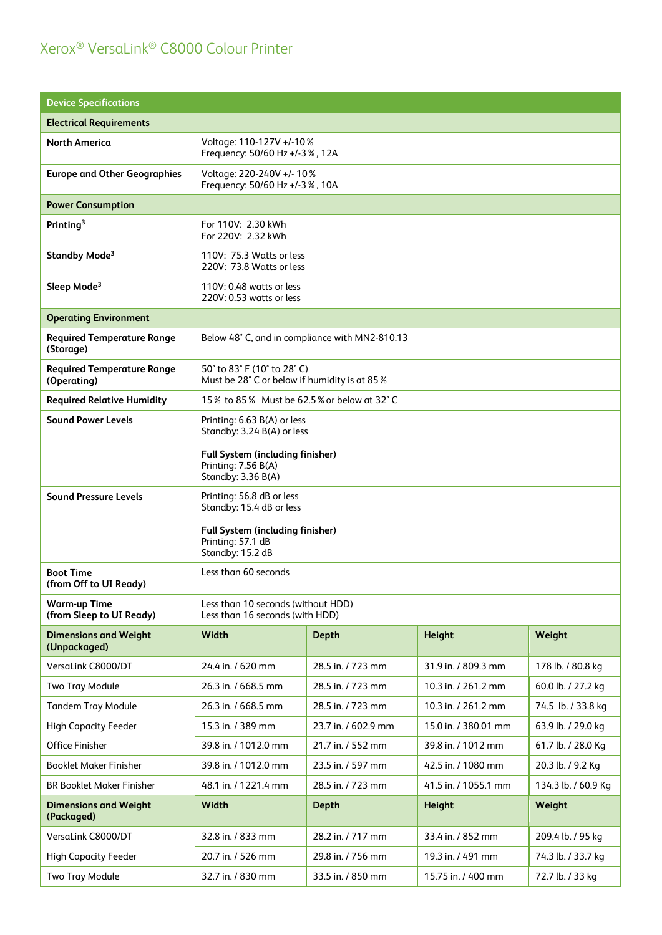| <b>Device Specifications</b>                     |                                                                                          |                     |                      |                    |
|--------------------------------------------------|------------------------------------------------------------------------------------------|---------------------|----------------------|--------------------|
| <b>Electrical Requirements</b>                   |                                                                                          |                     |                      |                    |
| <b>North America</b>                             | Voltage: 110-127V +/-10%<br>Frequency: 50/60 Hz +/-3 %, 12A                              |                     |                      |                    |
| <b>Europe and Other Geographies</b>              | Voltage: 220-240V +/- 10%<br>Frequency: 50/60 Hz +/-3 %, 10A                             |                     |                      |                    |
| <b>Power Consumption</b>                         |                                                                                          |                     |                      |                    |
| Printing <sup>3</sup>                            | For 110V: 2.30 kWh<br>For 220V: 2.32 kWh                                                 |                     |                      |                    |
| Standby Mode <sup>3</sup>                        | 110V: 75.3 Watts or less<br>220V: 73.8 Watts or less                                     |                     |                      |                    |
| Sleep Mode <sup>3</sup>                          | 110V: 0.48 watts or less<br>220V: 0.53 watts or less                                     |                     |                      |                    |
| <b>Operating Environment</b>                     |                                                                                          |                     |                      |                    |
| <b>Required Temperature Range</b><br>(Storage)   | Below 48° C, and in compliance with MN2-810.13                                           |                     |                      |                    |
| <b>Required Temperature Range</b><br>(Operating) | 50° to 83° F (10° to 28° C)<br>Must be 28° C or below if humidity is at 85%              |                     |                      |                    |
| <b>Required Relative Humidity</b>                | 15% to 85% Must be 62.5% or below at 32°C                                                |                     |                      |                    |
| <b>Sound Power Levels</b>                        | Printing: 6.63 B(A) or less<br>Standby: 3.24 B(A) or less                                |                     |                      |                    |
|                                                  | Full System (including finisher)<br>Printing: 7.56 B(A)<br>Standby: 3.36 B(A)            |                     |                      |                    |
| <b>Sound Pressure Levels</b>                     | Printing: 56.8 dB or less<br>Standby: 15.4 dB or less                                    |                     |                      |                    |
|                                                  | Full System (including finisher)<br>Printing: 57.1 dB<br>Standby: 15.2 dB                |                     |                      |                    |
| <b>Boot Time</b><br>(from Off to UI Ready)       | Less than 60 seconds                                                                     |                     |                      |                    |
| <b>Warm-up Time</b><br>(from Sleep to UI Ready)  | Less than 10 seconds (without HDD)<br>Less than 16 seconds (with HDD)                    |                     |                      |                    |
| <b>Dimensions and Weight</b><br>(Unpackaged)     | Width                                                                                    | <b>Depth</b>        | <b>Height</b>        | Weight             |
| VersaLink C8000/DT                               | 24.4 in. / 620 mm                                                                        | 28.5 in. / 723 mm   | 31.9 in. / 809.3 mm  | 178 lb. / 80.8 kg  |
| Two Tray Module                                  | 26.3 in. / 668.5 mm                                                                      | 28.5 in. / 723 mm   | 10.3 in. / 261.2 mm  | 60.0 lb. / 27.2 kg |
| <b>Tandem Tray Module</b>                        | 26.3 in. / 668.5 mm                                                                      | 28.5 in. / 723 mm   | 10.3 in. / 261.2 mm  | 74.5 lb. / 33.8 kg |
| <b>High Capacity Feeder</b>                      | 15.3 in. / 389 mm                                                                        | 23.7 in. / 602.9 mm | 15.0 in. / 380.01 mm | 63.9 lb. / 29.0 kg |
| Office Finisher                                  | 39.8 in. / 1012.0 mm                                                                     | 21.7 in. / 552 mm   | 39.8 in. / 1012 mm   | 61.7 lb. / 28.0 Kg |
| <b>Booklet Maker Finisher</b>                    | 39.8 in. / 1012.0 mm                                                                     | 23.5 in. / 597 mm   | 42.5 in. / 1080 mm   | 20.3 lb. / 9.2 Kg  |
| <b>BR Booklet Maker Finisher</b>                 | 48.1 in. / 1221.4 mm<br>28.5 in. / 723 mm<br>41.5 in. / 1055.1 mm<br>134.3 lb. / 60.9 Kg |                     |                      |                    |
| <b>Dimensions and Weight</b><br>(Packaged)       | Width<br><b>Depth</b><br><b>Height</b><br>Weight                                         |                     |                      |                    |
| VersaLink C8000/DT                               | 32.8 in. / 833 mm                                                                        | 28.2 in. / 717 mm   | 33.4 in. / 852 mm    | 209.4 lb. / 95 kg  |
| <b>High Capacity Feeder</b>                      | 20.7 in. / 526 mm<br>29.8 in. / 756 mm<br>19.3 in. / 491 mm<br>74.3 lb. / 33.7 kg        |                     |                      |                    |
| <b>Two Tray Module</b>                           | 32.7 in. / 830 mm                                                                        | 33.5 in. / 850 mm   | 15.75 in. / 400 mm   | 72.7 lb. / 33 kg   |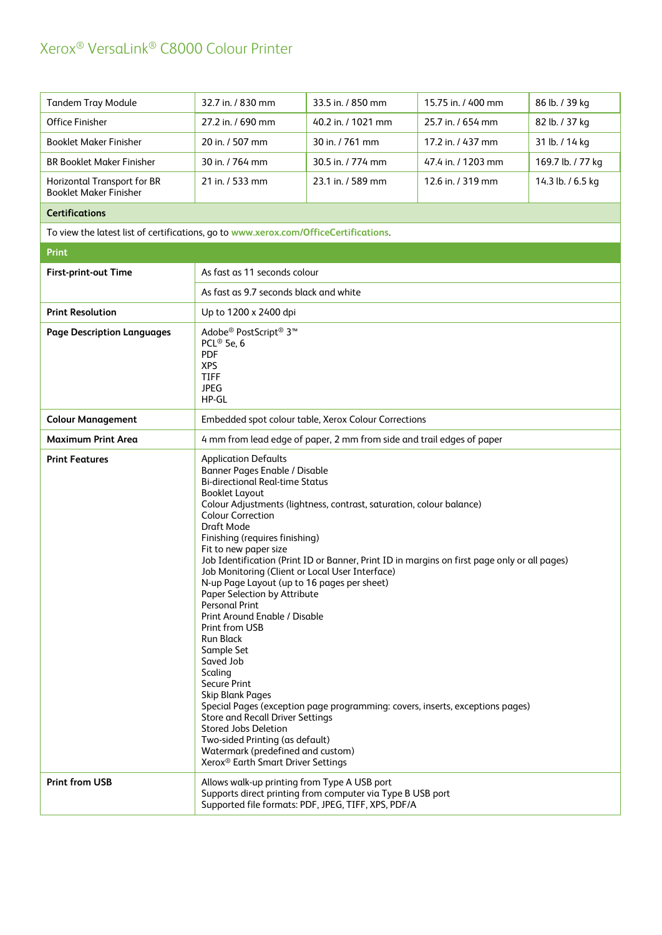| <b>Tandem Tray Module</b>                                                            | 32.7 in. / 830 mm                                                                                                                                                                                                                                                                                                                                                                                                                                                                                                                                                                                                                                                                                                                                                                                                                                                                                                                                                                                                    | 33.5 in. / 850 mm                                                                                                 | 15.75 in. / 400 mm | 86 lb. / 39 kg    |
|--------------------------------------------------------------------------------------|----------------------------------------------------------------------------------------------------------------------------------------------------------------------------------------------------------------------------------------------------------------------------------------------------------------------------------------------------------------------------------------------------------------------------------------------------------------------------------------------------------------------------------------------------------------------------------------------------------------------------------------------------------------------------------------------------------------------------------------------------------------------------------------------------------------------------------------------------------------------------------------------------------------------------------------------------------------------------------------------------------------------|-------------------------------------------------------------------------------------------------------------------|--------------------|-------------------|
| <b>Office Finisher</b>                                                               | 27.2 in. / 690 mm                                                                                                                                                                                                                                                                                                                                                                                                                                                                                                                                                                                                                                                                                                                                                                                                                                                                                                                                                                                                    | 40.2 in. / 1021 mm                                                                                                | 25.7 in. / 654 mm  | 82 lb. / 37 kg    |
| <b>Booklet Maker Finisher</b>                                                        | 20 in. / 507 mm                                                                                                                                                                                                                                                                                                                                                                                                                                                                                                                                                                                                                                                                                                                                                                                                                                                                                                                                                                                                      | 30 in. / 761 mm                                                                                                   | 17.2 in. / 437 mm  | 31 lb. / 14 kg    |
| <b>BR Booklet Maker Finisher</b>                                                     | 30 in. / 764 mm                                                                                                                                                                                                                                                                                                                                                                                                                                                                                                                                                                                                                                                                                                                                                                                                                                                                                                                                                                                                      | 30.5 in. / 774 mm                                                                                                 | 47.4 in. / 1203 mm | 169.7 lb. / 77 kg |
| Horizontal Transport for BR<br><b>Booklet Maker Finisher</b>                         | 21 in. / 533 mm                                                                                                                                                                                                                                                                                                                                                                                                                                                                                                                                                                                                                                                                                                                                                                                                                                                                                                                                                                                                      | 23.1 in. / 589 mm                                                                                                 | 12.6 in. / 319 mm  | 14.3 lb. / 6.5 kg |
| <b>Certifications</b>                                                                |                                                                                                                                                                                                                                                                                                                                                                                                                                                                                                                                                                                                                                                                                                                                                                                                                                                                                                                                                                                                                      |                                                                                                                   |                    |                   |
| To view the latest list of certifications, go to www.xerox.com/OfficeCertifications. |                                                                                                                                                                                                                                                                                                                                                                                                                                                                                                                                                                                                                                                                                                                                                                                                                                                                                                                                                                                                                      |                                                                                                                   |                    |                   |
| <b>Print</b>                                                                         |                                                                                                                                                                                                                                                                                                                                                                                                                                                                                                                                                                                                                                                                                                                                                                                                                                                                                                                                                                                                                      |                                                                                                                   |                    |                   |
| <b>First-print-out Time</b>                                                          | As fast as 11 seconds colour                                                                                                                                                                                                                                                                                                                                                                                                                                                                                                                                                                                                                                                                                                                                                                                                                                                                                                                                                                                         |                                                                                                                   |                    |                   |
|                                                                                      | As fast as 9.7 seconds black and white                                                                                                                                                                                                                                                                                                                                                                                                                                                                                                                                                                                                                                                                                                                                                                                                                                                                                                                                                                               |                                                                                                                   |                    |                   |
| <b>Print Resolution</b>                                                              | Up to 1200 x 2400 dpi                                                                                                                                                                                                                                                                                                                                                                                                                                                                                                                                                                                                                                                                                                                                                                                                                                                                                                                                                                                                |                                                                                                                   |                    |                   |
| <b>Page Description Languages</b>                                                    | Adobe <sup>®</sup> PostScript <sup>®</sup> 3 <sup>™</sup><br>PCL <sup>®</sup> 5e, 6<br><b>PDF</b><br><b>XPS</b><br><b>TIFF</b><br><b>JPEG</b><br>HP-GL                                                                                                                                                                                                                                                                                                                                                                                                                                                                                                                                                                                                                                                                                                                                                                                                                                                               |                                                                                                                   |                    |                   |
| <b>Colour Management</b>                                                             |                                                                                                                                                                                                                                                                                                                                                                                                                                                                                                                                                                                                                                                                                                                                                                                                                                                                                                                                                                                                                      | Embedded spot colour table, Xerox Colour Corrections                                                              |                    |                   |
| <b>Maximum Print Area</b>                                                            | 4 mm from lead edge of paper, 2 mm from side and trail edges of paper                                                                                                                                                                                                                                                                                                                                                                                                                                                                                                                                                                                                                                                                                                                                                                                                                                                                                                                                                |                                                                                                                   |                    |                   |
| <b>Print Features</b>                                                                | <b>Application Defaults</b><br>Banner Pages Enable / Disable<br><b>Bi-directional Real-time Status</b><br><b>Booklet Layout</b><br>Colour Adjustments (lightness, contrast, saturation, colour balance)<br><b>Colour Correction</b><br>Draft Mode<br>Finishing (requires finishing)<br>Fit to new paper size<br>Job Identification (Print ID or Banner, Print ID in margins on first page only or all pages)<br>Job Monitoring (Client or Local User Interface)<br>N-up Page Layout (up to 16 pages per sheet)<br>Paper Selection by Attribute<br><b>Personal Print</b><br>Print Around Enable / Disable<br>Print from USB<br><b>Run Black</b><br>Sample Set<br>Saved Job<br>Scaling<br><b>Secure Print</b><br><b>Skip Blank Pages</b><br>Special Pages (exception page programming: covers, inserts, exceptions pages)<br><b>Store and Recall Driver Settings</b><br>Stored Jobs Deletion<br>Two-sided Printing (as default)<br>Watermark (predefined and custom)<br>Xerox <sup>®</sup> Earth Smart Driver Settings |                                                                                                                   |                    |                   |
| <b>Print from USB</b>                                                                | Allows walk-up printing from Type A USB port                                                                                                                                                                                                                                                                                                                                                                                                                                                                                                                                                                                                                                                                                                                                                                                                                                                                                                                                                                         | Supports direct printing from computer via Type B USB port<br>Supported file formats: PDF, JPEG, TIFF, XPS, PDF/A |                    |                   |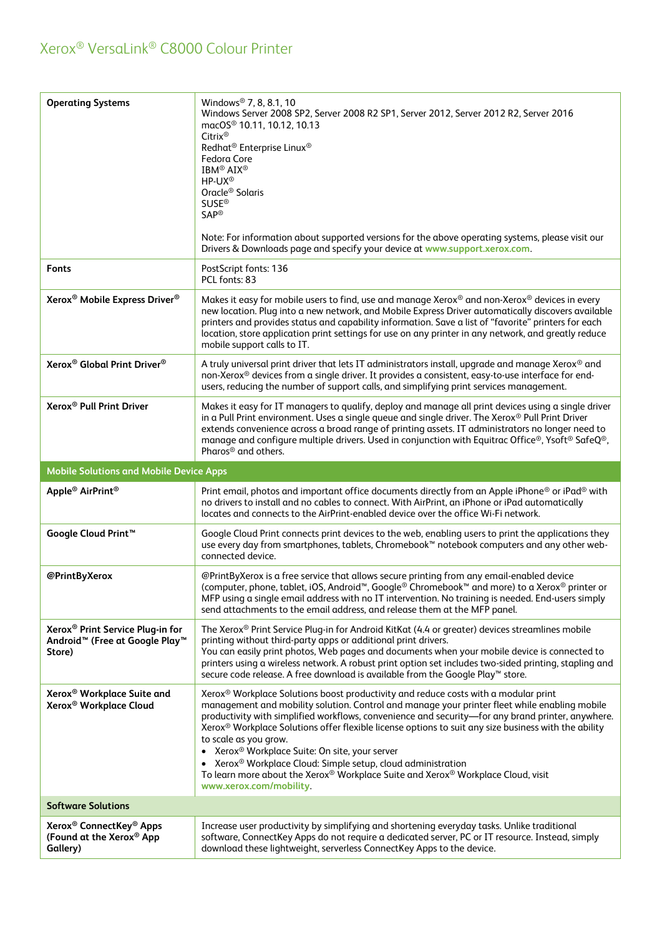| <b>Operating Systems</b>                                                                                         | Windows <sup>®</sup> 7, 8, 8.1, 10<br>Windows Server 2008 SP2, Server 2008 R2 SP1, Server 2012, Server 2012 R2, Server 2016<br>macOS <sup>®</sup> 10.11, 10.12, 10.13<br>$Citrix^{\circledR}$<br>Redhat <sup>®</sup> Enterprise Linux <sup>®</sup><br>Fedora Core<br><b>IBM® AIX®</b><br>HP-UX <sup>®</sup><br>Oracle <sup>®</sup> Solaris<br><b>SUSE®</b><br><b>SAP®</b><br>Note: For information about supported versions for the above operating systems, please visit our<br>Drivers & Downloads page and specify your device at www.support.xerox.com.                                                                                                                                   |
|------------------------------------------------------------------------------------------------------------------|-----------------------------------------------------------------------------------------------------------------------------------------------------------------------------------------------------------------------------------------------------------------------------------------------------------------------------------------------------------------------------------------------------------------------------------------------------------------------------------------------------------------------------------------------------------------------------------------------------------------------------------------------------------------------------------------------|
| <b>Fonts</b>                                                                                                     | PostScript fonts: 136<br>PCL fonts: 83                                                                                                                                                                                                                                                                                                                                                                                                                                                                                                                                                                                                                                                        |
| Xerox <sup>®</sup> Mobile Express Driver <sup>®</sup>                                                            | Makes it easy for mobile users to find, use and manage Xerox® and non-Xerox® devices in every<br>new location. Plug into a new network, and Mobile Express Driver automatically discovers available<br>printers and provides status and capability information. Save a list of "favorite" printers for each<br>location, store application print settings for use on any printer in any network, and greatly reduce<br>mobile support calls to IT.                                                                                                                                                                                                                                            |
| Xerox <sup>®</sup> Global Print Driver <sup>®</sup>                                                              | A truly universal print driver that lets IT administrators install, upgrade and manage Xerox® and<br>non-Xerox® devices from a single driver. It provides a consistent, easy-to-use interface for end-<br>users, reducing the number of support calls, and simplifying print services management.                                                                                                                                                                                                                                                                                                                                                                                             |
| Xerox <sup>®</sup> Pull Print Driver                                                                             | Makes it easy for IT managers to qualify, deploy and manage all print devices using a single driver<br>in a Pull Print environment. Uses a single queue and single driver. The Xerox® Pull Print Driver<br>extends convenience across a broad range of printing assets. IT administrators no longer need to<br>manage and configure multiple drivers. Used in conjunction with Equitrac Office®, Ysoft® SafeQ®,<br>Pharos <sup>®</sup> and others.                                                                                                                                                                                                                                            |
| <b>Mobile Solutions and Mobile Device Apps</b>                                                                   |                                                                                                                                                                                                                                                                                                                                                                                                                                                                                                                                                                                                                                                                                               |
| Apple <sup>®</sup> AirPrint <sup>®</sup>                                                                         | Print email, photos and important office documents directly from an Apple iPhone® or iPad® with<br>no drivers to install and no cables to connect. With AirPrint, an iPhone or iPad automatically<br>locates and connects to the AirPrint-enabled device over the office Wi-Fi network.                                                                                                                                                                                                                                                                                                                                                                                                       |
| Google Cloud Print <sup>™</sup>                                                                                  | Google Cloud Print connects print devices to the web, enabling users to print the applications they<br>use every day from smartphones, tablets, Chromebook™ notebook computers and any other web-<br>connected device.                                                                                                                                                                                                                                                                                                                                                                                                                                                                        |
| @PrintByXerox                                                                                                    | @PrintByXerox is a free service that allows secure printing from any email-enabled device<br>(computer, phone, tablet, iOS, Android <sup>™</sup> , Google <sup>®</sup> Chromebook <sup>™</sup> and more) to a Xerox <sup>®</sup> printer or<br>MFP using a single email address with no IT intervention. No training is needed. End-users simply<br>send attachments to the email address, and release them at the MFP panel.                                                                                                                                                                                                                                                                 |
| Xerox <sup>®</sup> Print Service Plug-in for<br>Android <sup>™</sup> (Free at Google Play <sup>™</sup><br>Store) | The Xerox® Print Service Plug-in for Android KitKat (4.4 or greater) devices streamlines mobile<br>printing without third-party apps or additional print drivers.<br>You can easily print photos, Web pages and documents when your mobile device is connected to<br>printers using a wireless network. A robust print option set includes two-sided printing, stapling and<br>secure code release. A free download is available from the Google Play™ store.                                                                                                                                                                                                                                 |
| Xerox <sup>®</sup> Workplace Suite and<br>Xerox <sup>®</sup> Workplace Cloud                                     | Xerox <sup>®</sup> Workplace Solutions boost productivity and reduce costs with a modular print<br>management and mobility solution. Control and manage your printer fleet while enabling mobile<br>productivity with simplified workflows, convenience and security-for any brand printer, anywhere.<br>Xerox® Workplace Solutions offer flexible license options to suit any size business with the ability<br>to scale as you grow.<br>• Xerox <sup>®</sup> Workplace Suite: On site, your server<br>Xerox <sup>®</sup> Workplace Cloud: Simple setup, cloud administration<br>To learn more about the Xerox® Workplace Suite and Xerox® Workplace Cloud, visit<br>www.xerox.com/mobility. |
| <b>Software Solutions</b>                                                                                        |                                                                                                                                                                                                                                                                                                                                                                                                                                                                                                                                                                                                                                                                                               |
| Xerox <sup>®</sup> ConnectKey <sup>®</sup> Apps<br>(Found at the Xerox® App<br>Gallery)                          | Increase user productivity by simplifying and shortening everyday tasks. Unlike traditional<br>software, ConnectKey Apps do not require a dedicated server, PC or IT resource. Instead, simply<br>download these lightweight, serverless ConnectKey Apps to the device.                                                                                                                                                                                                                                                                                                                                                                                                                       |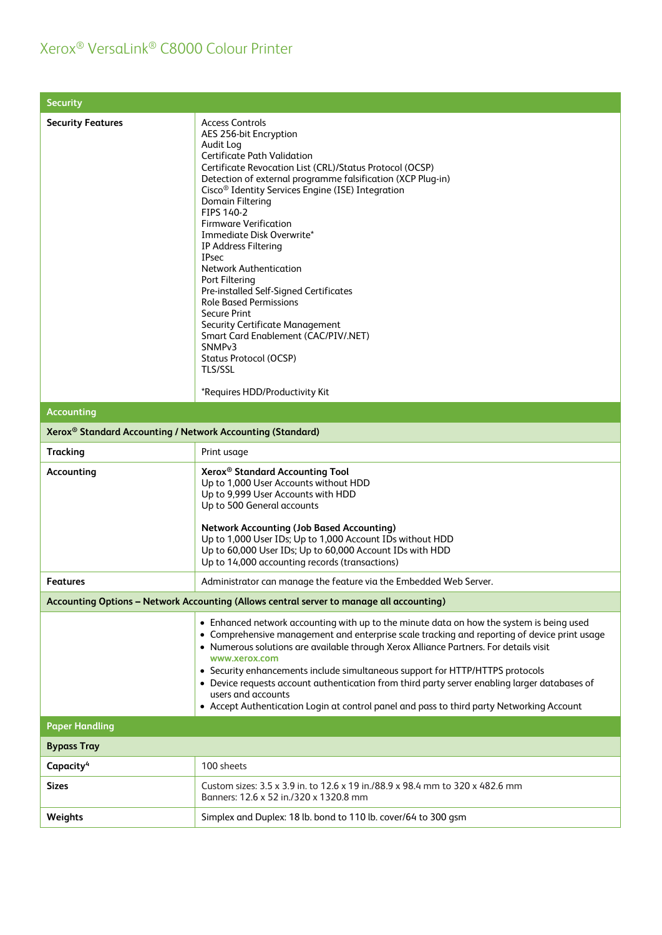| <b>Security</b>                                                        |                                                                                                                                                                                                                                                                                                                                                                                                                                                                                                                                                                                                                                                                                                                                                                            |
|------------------------------------------------------------------------|----------------------------------------------------------------------------------------------------------------------------------------------------------------------------------------------------------------------------------------------------------------------------------------------------------------------------------------------------------------------------------------------------------------------------------------------------------------------------------------------------------------------------------------------------------------------------------------------------------------------------------------------------------------------------------------------------------------------------------------------------------------------------|
| <b>Security Features</b>                                               | <b>Access Controls</b><br>AES 256-bit Encryption<br>Audit Log<br><b>Certificate Path Validation</b><br>Certificate Revocation List (CRL)/Status Protocol (OCSP)<br>Detection of external programme falsification (XCP Plug-in)<br>Cisco <sup>®</sup> Identity Services Engine (ISE) Integration<br>Domain Filtering<br>FIPS 140-2<br><b>Firmware Verification</b><br>Immediate Disk Overwrite*<br>IP Address Filtering<br><b>IPsec</b><br><b>Network Authentication</b><br>Port Filtering<br>Pre-installed Self-Signed Certificates<br><b>Role Based Permissions</b><br><b>Secure Print</b><br>Security Certificate Management<br>Smart Card Enablement (CAC/PIV/.NET)<br>SNMP <sub>v3</sub><br>Status Protocol (OCSP)<br><b>TLS/SSL</b><br>*Requires HDD/Productivity Kit |
| <b>Accounting</b>                                                      |                                                                                                                                                                                                                                                                                                                                                                                                                                                                                                                                                                                                                                                                                                                                                                            |
| Xerox <sup>®</sup> Standard Accounting / Network Accounting (Standard) |                                                                                                                                                                                                                                                                                                                                                                                                                                                                                                                                                                                                                                                                                                                                                                            |
| <b>Tracking</b>                                                        | Print usage                                                                                                                                                                                                                                                                                                                                                                                                                                                                                                                                                                                                                                                                                                                                                                |
| Accounting                                                             | Xerox <sup>®</sup> Standard Accounting Tool<br>Up to 1,000 User Accounts without HDD<br>Up to 9,999 User Accounts with HDD<br>Up to 500 General accounts<br><b>Network Accounting (Job Based Accounting)</b><br>Up to 1,000 User IDs; Up to 1,000 Account IDs without HDD<br>Up to 60,000 User IDs; Up to 60,000 Account IDs with HDD<br>Up to 14,000 accounting records (transactions)                                                                                                                                                                                                                                                                                                                                                                                    |
| <b>Features</b>                                                        | Administrator can manage the feature via the Embedded Web Server.                                                                                                                                                                                                                                                                                                                                                                                                                                                                                                                                                                                                                                                                                                          |
|                                                                        | Accounting Options - Network Accounting (Allows central server to manage all accounting)                                                                                                                                                                                                                                                                                                                                                                                                                                                                                                                                                                                                                                                                                   |
|                                                                        | • Enhanced network accounting with up to the minute data on how the system is being used<br>• Comprehensive management and enterprise scale tracking and reporting of device print usage<br>• Numerous solutions are available through Xerox Alliance Partners. For details visit<br>www.xerox.com<br>• Security enhancements include simultaneous support for HTTP/HTTPS protocols<br>• Device requests account authentication from third party server enabling larger databases of<br>users and accounts<br>• Accept Authentication Login at control panel and pass to third party Networking Account                                                                                                                                                                    |
| <b>Paper Handling</b>                                                  |                                                                                                                                                                                                                                                                                                                                                                                                                                                                                                                                                                                                                                                                                                                                                                            |
| <b>Bypass Tray</b>                                                     |                                                                                                                                                                                                                                                                                                                                                                                                                                                                                                                                                                                                                                                                                                                                                                            |
| Capacity <sup>4</sup>                                                  | 100 sheets                                                                                                                                                                                                                                                                                                                                                                                                                                                                                                                                                                                                                                                                                                                                                                 |
| <b>Sizes</b>                                                           | Custom sizes: 3.5 x 3.9 in. to 12.6 x 19 in./88.9 x 98.4 mm to 320 x 482.6 mm<br>Banners: 12.6 x 52 in./320 x 1320.8 mm                                                                                                                                                                                                                                                                                                                                                                                                                                                                                                                                                                                                                                                    |
| Weights                                                                | Simplex and Duplex: 18 lb. bond to 110 lb. cover/64 to 300 gsm                                                                                                                                                                                                                                                                                                                                                                                                                                                                                                                                                                                                                                                                                                             |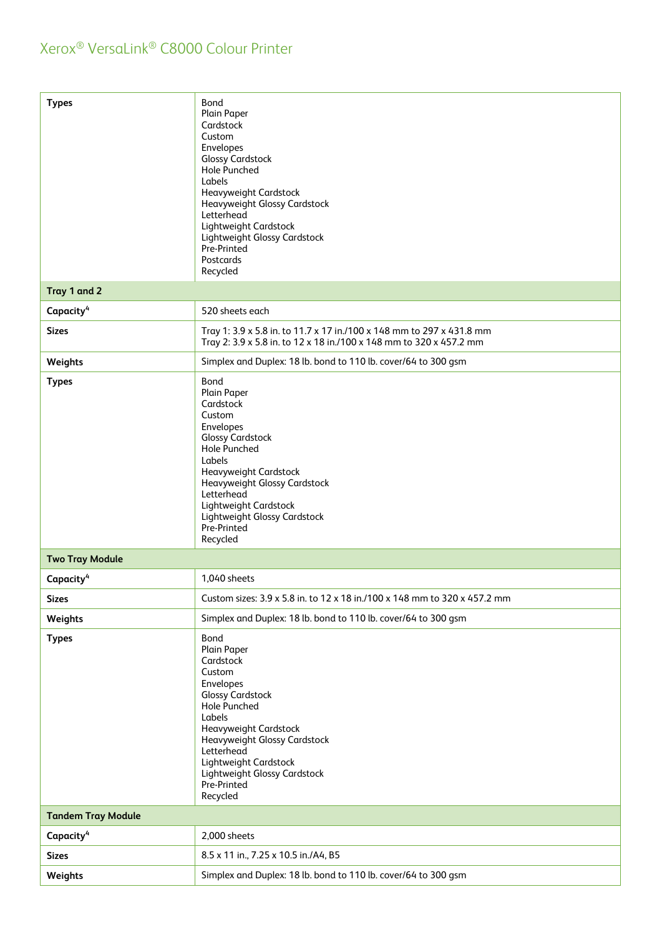| <b>Types</b><br>Tray 1 and 2 | Bond<br>Plain Paper<br>Cardstock<br>Custom<br>Envelopes<br><b>Glossy Cardstock</b><br>Hole Punched<br>Labels<br>Heavyweight Cardstock<br>Heavyweight Glossy Cardstock<br>Letterhead<br>Lightweight Cardstock<br>Lightweight Glossy Cardstock<br>Pre-Printed<br>Postcards<br>Recycled |
|------------------------------|--------------------------------------------------------------------------------------------------------------------------------------------------------------------------------------------------------------------------------------------------------------------------------------|
| Capacity <sup>4</sup>        | 520 sheets each                                                                                                                                                                                                                                                                      |
|                              |                                                                                                                                                                                                                                                                                      |
| <b>Sizes</b>                 | Tray 1: 3.9 x 5.8 in. to 11.7 x 17 in./100 x 148 mm to 297 x 431.8 mm<br>Tray 2: 3.9 x 5.8 in. to 12 x 18 in./100 x 148 mm to 320 x 457.2 mm                                                                                                                                         |
| Weights                      | Simplex and Duplex: 18 lb. bond to 110 lb. cover/64 to 300 gsm                                                                                                                                                                                                                       |
| <b>Types</b>                 | Bond<br>Plain Paper<br>Cardstock<br>Custom<br>Envelopes<br><b>Glossy Cardstock</b><br><b>Hole Punched</b><br>Labels<br>Heavyweight Cardstock<br>Heavyweight Glossy Cardstock<br>Letterhead<br>Lightweight Cardstock<br>Lightweight Glossy Cardstock<br>Pre-Printed<br>Recycled       |
| <b>Two Tray Module</b>       |                                                                                                                                                                                                                                                                                      |
| Capacity <sup>4</sup>        | 1,040 sheets                                                                                                                                                                                                                                                                         |
| <b>Sizes</b>                 | Custom sizes: 3.9 x 5.8 in. to 12 x 18 in./100 x 148 mm to 320 x 457.2 mm                                                                                                                                                                                                            |
| Weights                      | Simplex and Duplex: 18 lb. bond to 110 lb. cover/64 to 300 gsm                                                                                                                                                                                                                       |
| <b>Types</b>                 | Bond<br>Plain Paper<br>Cardstock<br>Custom<br>Envelopes<br><b>Glossy Cardstock</b><br><b>Hole Punched</b><br>Labels<br>Heavyweight Cardstock<br>Heavyweight Glossy Cardstock<br>Letterhead<br>Lightweight Cardstock<br>Lightweight Glossy Cardstock<br>Pre-Printed<br>Recycled       |
| <b>Tandem Tray Module</b>    |                                                                                                                                                                                                                                                                                      |
| Capacity <sup>4</sup>        | 2,000 sheets                                                                                                                                                                                                                                                                         |
| <b>Sizes</b>                 | 8.5 x 11 in., 7.25 x 10.5 in./A4, B5                                                                                                                                                                                                                                                 |
| Weights                      | Simplex and Duplex: 18 lb. bond to 110 lb. cover/64 to 300 gsm                                                                                                                                                                                                                       |
|                              |                                                                                                                                                                                                                                                                                      |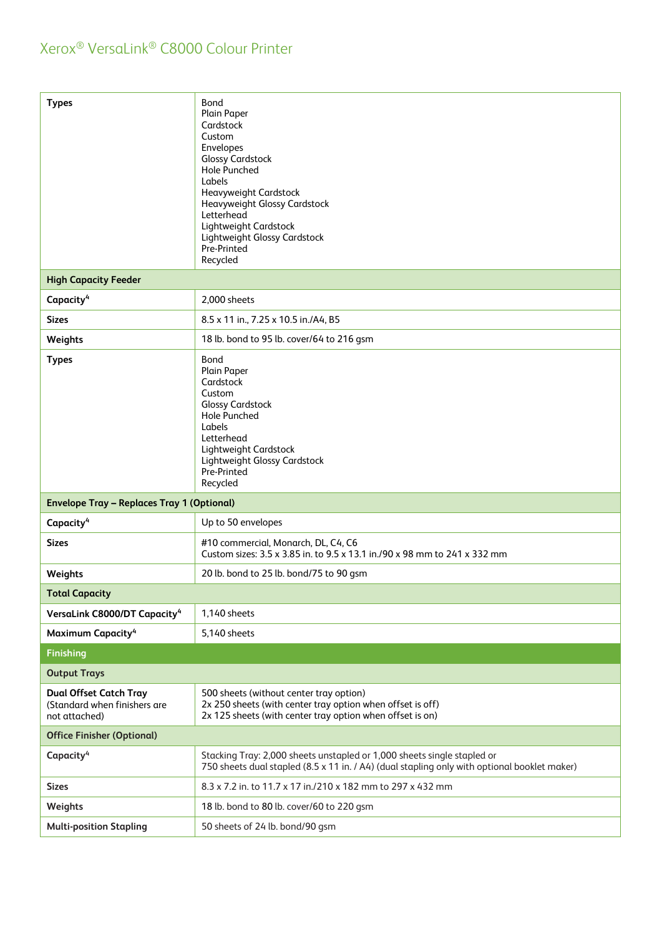| <b>Types</b>                                                                   | Bond<br>Plain Paper<br>Cardstock<br>Custom<br>Envelopes<br><b>Glossy Cardstock</b><br><b>Hole Punched</b><br>Labels<br>Heavyweight Cardstock<br>Heavyweight Glossy Cardstock<br>Letterhead<br>Lightweight Cardstock<br>Lightweight Glossy Cardstock<br>Pre-Printed<br>Recycled |
|--------------------------------------------------------------------------------|--------------------------------------------------------------------------------------------------------------------------------------------------------------------------------------------------------------------------------------------------------------------------------|
| <b>High Capacity Feeder</b>                                                    |                                                                                                                                                                                                                                                                                |
| Capacity <sup>4</sup>                                                          | 2,000 sheets                                                                                                                                                                                                                                                                   |
| <b>Sizes</b>                                                                   | 8.5 x 11 in., 7.25 x 10.5 in./A4, B5                                                                                                                                                                                                                                           |
| Weights                                                                        | 18 lb. bond to 95 lb. cover/64 to 216 gsm                                                                                                                                                                                                                                      |
| <b>Types</b>                                                                   | Bond<br>Plain Paper<br>Cardstock<br>Custom<br><b>Glossy Cardstock</b><br><b>Hole Punched</b><br>Labels<br>Letterhead<br>Lightweight Cardstock<br>Lightweight Glossy Cardstock<br>Pre-Printed<br>Recycled                                                                       |
| <b>Envelope Tray - Replaces Tray 1 (Optional)</b>                              |                                                                                                                                                                                                                                                                                |
| Capacity <sup>4</sup>                                                          | Up to 50 envelopes                                                                                                                                                                                                                                                             |
| <b>Sizes</b>                                                                   | #10 commercial, Monarch, DL, C4, C6<br>Custom sizes: 3.5 x 3.85 in. to 9.5 x 13.1 in./90 x 98 mm to 241 x 332 mm                                                                                                                                                               |
| Weights                                                                        | 20 lb. bond to 25 lb. bond/75 to 90 gsm                                                                                                                                                                                                                                        |
| <b>Total Capacity</b>                                                          |                                                                                                                                                                                                                                                                                |
| VersaLink C8000/DT Capacity <sup>4</sup>                                       | 1,140 sheets                                                                                                                                                                                                                                                                   |
| Maximum Capacity <sup>4</sup>                                                  | 5,140 sheets                                                                                                                                                                                                                                                                   |
| Finishing                                                                      |                                                                                                                                                                                                                                                                                |
| <b>Output Trays</b>                                                            |                                                                                                                                                                                                                                                                                |
| <b>Dual Offset Catch Tray</b><br>(Standard when finishers are<br>not attached) | 500 sheets (without center tray option)<br>2x 250 sheets (with center tray option when offset is off)<br>2x 125 sheets (with center tray option when offset is on)                                                                                                             |
| <b>Office Finisher (Optional)</b>                                              |                                                                                                                                                                                                                                                                                |
| Capacity <sup>4</sup>                                                          | Stacking Tray: 2,000 sheets unstapled or 1,000 sheets single stapled or<br>750 sheets dual stapled (8.5 x 11 in. / A4) (dual stapling only with optional booklet maker)                                                                                                        |
| <b>Sizes</b>                                                                   | 8.3 x 7.2 in. to 11.7 x 17 in./210 x 182 mm to 297 x 432 mm                                                                                                                                                                                                                    |
| Weights                                                                        | 18 lb. bond to 80 lb. cover/60 to 220 gsm                                                                                                                                                                                                                                      |
| <b>Multi-position Stapling</b>                                                 | 50 sheets of 24 lb. bond/90 gsm                                                                                                                                                                                                                                                |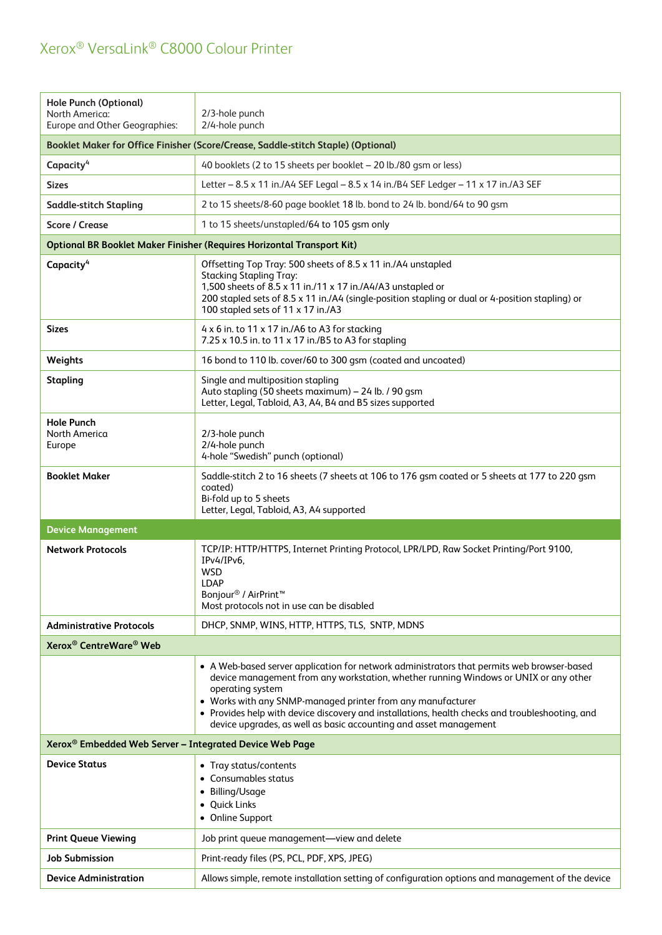| <b>Hole Punch (Optional)</b><br>North America:<br>Europe and Other Geographies:   | 2/3-hole punch<br>2/4-hole punch                                                                                                                                                                                                                                                                                                                                                                                                              |  |
|-----------------------------------------------------------------------------------|-----------------------------------------------------------------------------------------------------------------------------------------------------------------------------------------------------------------------------------------------------------------------------------------------------------------------------------------------------------------------------------------------------------------------------------------------|--|
| Booklet Maker for Office Finisher (Score/Crease, Saddle-stitch Staple) (Optional) |                                                                                                                                                                                                                                                                                                                                                                                                                                               |  |
| Capacity <sup>4</sup>                                                             | 40 booklets (2 to 15 sheets per booklet - 20 lb./80 gsm or less)                                                                                                                                                                                                                                                                                                                                                                              |  |
| <b>Sizes</b>                                                                      | Letter - 8.5 x 11 in./A4 SEF Legal - 8.5 x 14 in./B4 SEF Ledger - 11 x 17 in./A3 SEF                                                                                                                                                                                                                                                                                                                                                          |  |
| <b>Saddle-stitch Stapling</b>                                                     | 2 to 15 sheets/8-60 page booklet 18 lb. bond to 24 lb. bond/64 to 90 gsm                                                                                                                                                                                                                                                                                                                                                                      |  |
| <b>Score / Crease</b>                                                             | 1 to 15 sheets/unstapled/64 to 105 gsm only                                                                                                                                                                                                                                                                                                                                                                                                   |  |
|                                                                                   | <b>Optional BR Booklet Maker Finisher (Requires Horizontal Transport Kit)</b>                                                                                                                                                                                                                                                                                                                                                                 |  |
| Capacity <sup>4</sup>                                                             | Offsetting Top Tray: 500 sheets of 8.5 x 11 in./A4 unstapled<br><b>Stacking Stapling Tray:</b><br>1,500 sheets of 8.5 x 11 in./11 x 17 in./A4/A3 unstapled or<br>200 stapled sets of 8.5 x 11 in./A4 (single-position stapling or dual or 4-position stapling) or<br>100 stapled sets of 11 x 17 in./A3                                                                                                                                       |  |
| <b>Sizes</b>                                                                      | 4 x 6 in. to 11 x 17 in./A6 to A3 for stacking<br>7.25 x 10.5 in. to 11 x 17 in./B5 to A3 for stapling                                                                                                                                                                                                                                                                                                                                        |  |
| Weights                                                                           | 16 bond to 110 lb. cover/60 to 300 gsm (coated and uncoated)                                                                                                                                                                                                                                                                                                                                                                                  |  |
| <b>Stapling</b>                                                                   | Single and multiposition stapling<br>Auto stapling (50 sheets maximum) - 24 lb. / 90 gsm<br>Letter, Legal, Tabloid, A3, A4, B4 and B5 sizes supported                                                                                                                                                                                                                                                                                         |  |
| <b>Hole Punch</b><br>North America<br>Europe                                      | 2/3-hole punch<br>2/4-hole punch<br>4-hole "Swedish" punch (optional)                                                                                                                                                                                                                                                                                                                                                                         |  |
| <b>Booklet Maker</b>                                                              | Saddle-stitch 2 to 16 sheets (7 sheets at 106 to 176 gsm coated or 5 sheets at 177 to 220 gsm<br>coated)                                                                                                                                                                                                                                                                                                                                      |  |
|                                                                                   | Bi-fold up to 5 sheets<br>Letter, Legal, Tabloid, A3, A4 supported                                                                                                                                                                                                                                                                                                                                                                            |  |
| <b>Device Management</b>                                                          |                                                                                                                                                                                                                                                                                                                                                                                                                                               |  |
| <b>Network Protocols</b>                                                          | TCP/IP: HTTP/HTTPS, Internet Printing Protocol, LPR/LPD, Raw Socket Printing/Port 9100,<br>IPv4/IPv6,<br><b>WSD</b><br><b>LDAP</b><br>Bonjour <sup>®</sup> / AirPrint <sup>™</sup><br>Most protocols not in use can be disabled                                                                                                                                                                                                               |  |
| <b>Administrative Protocols</b>                                                   | DHCP, SNMP, WINS, HTTP, HTTPS, TLS, SNTP, MDNS                                                                                                                                                                                                                                                                                                                                                                                                |  |
| Xerox <sup>®</sup> CentreWare <sup>®</sup> Web                                    |                                                                                                                                                                                                                                                                                                                                                                                                                                               |  |
|                                                                                   | • A Web-based server application for network administrators that permits web browser-based<br>device management from any workstation, whether running Windows or UNIX or any other<br>operating system<br>• Works with any SNMP-managed printer from any manufacturer<br>• Provides help with device discovery and installations, health checks and troubleshooting, and<br>device upgrades, as well as basic accounting and asset management |  |
| Xerox® Embedded Web Server - Integrated Device Web Page                           |                                                                                                                                                                                                                                                                                                                                                                                                                                               |  |
| <b>Device Status</b>                                                              | • Tray status/contents<br>• Consumables status<br>• Billing/Usage<br>• Quick Links<br>• Online Support                                                                                                                                                                                                                                                                                                                                        |  |
| <b>Print Queue Viewing</b>                                                        | Job print queue management-view and delete                                                                                                                                                                                                                                                                                                                                                                                                    |  |
| <b>Job Submission</b>                                                             | Print-ready files (PS, PCL, PDF, XPS, JPEG)                                                                                                                                                                                                                                                                                                                                                                                                   |  |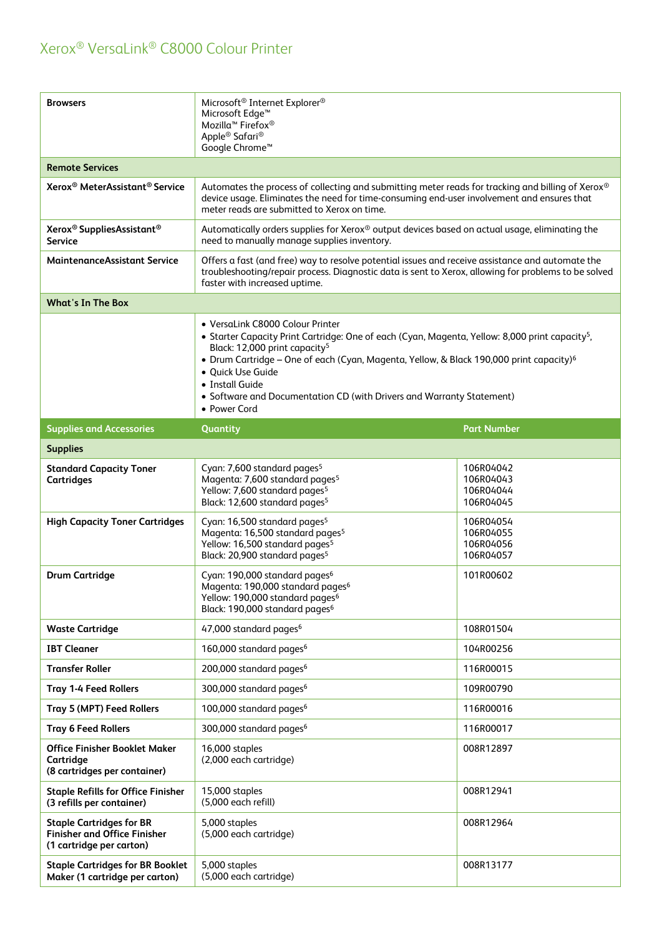| <b>Browsers</b>                                                                                                                                                                                                                                                                                                                                                                                                                      | Microsoft <sup>®</sup> Internet Explorer <sup>®</sup><br>Microsoft Edge <sup>™</sup><br>Mozilla <sup>™</sup> Firefox®<br>Apple <sup>®</sup> Safari <sup>®</sup><br>Google Chrome <sup>™</sup>                                                  |                                                  |  |
|--------------------------------------------------------------------------------------------------------------------------------------------------------------------------------------------------------------------------------------------------------------------------------------------------------------------------------------------------------------------------------------------------------------------------------------|------------------------------------------------------------------------------------------------------------------------------------------------------------------------------------------------------------------------------------------------|--------------------------------------------------|--|
| <b>Remote Services</b>                                                                                                                                                                                                                                                                                                                                                                                                               |                                                                                                                                                                                                                                                |                                                  |  |
| Xerox <sup>®</sup> MeterAssistant <sup>®</sup> Service                                                                                                                                                                                                                                                                                                                                                                               | Automates the process of collecting and submitting meter reads for tracking and billing of Xerox®<br>device usage. Eliminates the need for time-consuming end-user involvement and ensures that<br>meter reads are submitted to Xerox on time. |                                                  |  |
| Xerox <sup>®</sup> SuppliesAssistant <sup>®</sup><br><b>Service</b>                                                                                                                                                                                                                                                                                                                                                                  | Automatically orders supplies for Xerox <sup>®</sup> output devices based on actual usage, eliminating the<br>need to manually manage supplies inventory.                                                                                      |                                                  |  |
| <b>MaintenanceAssistant Service</b>                                                                                                                                                                                                                                                                                                                                                                                                  | Offers a fast (and free) way to resolve potential issues and receive assistance and automate the<br>troubleshooting/repair process. Diagnostic data is sent to Xerox, allowing for problems to be solved<br>faster with increased uptime.      |                                                  |  |
| <b>What's In The Box</b>                                                                                                                                                                                                                                                                                                                                                                                                             |                                                                                                                                                                                                                                                |                                                  |  |
| • VersaLink C8000 Colour Printer<br>• Starter Capacity Print Cartridge: One of each (Cyan, Magenta, Yellow: 8,000 print capacity <sup>5</sup> ,<br>Black: 12,000 print capacity <sup>5</sup><br>• Drum Cartridge - One of each (Cyan, Magenta, Yellow, & Black 190,000 print capacity) <sup>6</sup><br>• Quick Use Guide<br>• Install Guide<br>• Software and Documentation CD (with Drivers and Warranty Statement)<br>• Power Cord |                                                                                                                                                                                                                                                |                                                  |  |
| <b>Supplies and Accessories</b>                                                                                                                                                                                                                                                                                                                                                                                                      | Quantity                                                                                                                                                                                                                                       | <b>Part Number</b>                               |  |
| <b>Supplies</b>                                                                                                                                                                                                                                                                                                                                                                                                                      |                                                                                                                                                                                                                                                |                                                  |  |
| <b>Standard Capacity Toner</b><br><b>Cartridges</b>                                                                                                                                                                                                                                                                                                                                                                                  | Cyan: 7,600 standard pages <sup>5</sup><br>Magenta: 7,600 standard pages <sup>5</sup><br>Yellow: 7,600 standard pages <sup>5</sup><br>Black: 12,600 standard pages <sup>5</sup>                                                                | 106R04042<br>106R04043<br>106R04044<br>106R04045 |  |
| <b>High Capacity Toner Cartridges</b>                                                                                                                                                                                                                                                                                                                                                                                                | Cyan: 16,500 standard pages <sup>5</sup><br>Magenta: 16,500 standard pages <sup>5</sup><br>Yellow: 16,500 standard pages <sup>5</sup><br>Black: 20,900 standard pages <sup>5</sup>                                                             | 106R04054<br>106R04055<br>106R04056<br>106R04057 |  |
| <b>Drum Cartridge</b>                                                                                                                                                                                                                                                                                                                                                                                                                | Cyan: 190,000 standard pages <sup>6</sup><br>Magenta: 190,000 standard pages <sup>6</sup><br>Yellow: 190,000 standard pages <sup>6</sup><br>Black: 190,000 standard pages <sup>6</sup>                                                         | 101R00602                                        |  |
| <b>Waste Cartridge</b>                                                                                                                                                                                                                                                                                                                                                                                                               | 47,000 standard pages <sup>6</sup>                                                                                                                                                                                                             | 108R01504                                        |  |
| <b>IBT Cleaner</b>                                                                                                                                                                                                                                                                                                                                                                                                                   | 160,000 standard pages <sup>6</sup>                                                                                                                                                                                                            | 104R00256                                        |  |
| <b>Transfer Roller</b>                                                                                                                                                                                                                                                                                                                                                                                                               | 200,000 standard pages <sup>6</sup>                                                                                                                                                                                                            | 116R00015                                        |  |
| <b>Tray 1-4 Feed Rollers</b>                                                                                                                                                                                                                                                                                                                                                                                                         | 300,000 standard pages <sup>6</sup>                                                                                                                                                                                                            | 109R00790                                        |  |
| Tray 5 (MPT) Feed Rollers                                                                                                                                                                                                                                                                                                                                                                                                            | 100,000 standard pages <sup>6</sup>                                                                                                                                                                                                            | 116R00016                                        |  |
| <b>Tray 6 Feed Rollers</b>                                                                                                                                                                                                                                                                                                                                                                                                           | 300,000 standard pages <sup>6</sup>                                                                                                                                                                                                            | 116R00017                                        |  |
| <b>Office Finisher Booklet Maker</b><br>Cartridge<br>(8 cartridges per container)                                                                                                                                                                                                                                                                                                                                                    | 16,000 staples<br>(2,000 each cartridge)                                                                                                                                                                                                       | 008R12897                                        |  |
| <b>Staple Refills for Office Finisher</b><br>(3 refills per container)                                                                                                                                                                                                                                                                                                                                                               | 15,000 staples<br>(5,000 each refill)                                                                                                                                                                                                          | 008R12941                                        |  |
| <b>Staple Cartridges for BR</b><br><b>Finisher and Office Finisher</b><br>(1 cartridge per carton)                                                                                                                                                                                                                                                                                                                                   | 5,000 staples<br>(5,000 each cartridge)                                                                                                                                                                                                        | 008R12964                                        |  |
| <b>Staple Cartridges for BR Booklet</b><br>Maker (1 cartridge per carton)                                                                                                                                                                                                                                                                                                                                                            | 5,000 staples<br>(5,000 each cartridge)                                                                                                                                                                                                        | 008R13177                                        |  |